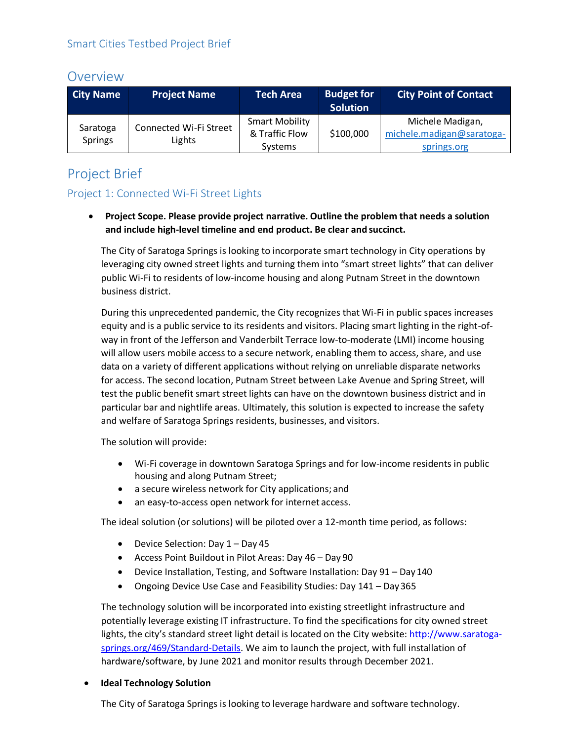# **Overview**

| <b>City Name</b>           | <b>Project Name</b>              | <b>Tech Area</b>                        | <b>Budget for</b><br><b>Solution</b> | <b>City Point of Contact</b>                  |
|----------------------------|----------------------------------|-----------------------------------------|--------------------------------------|-----------------------------------------------|
| Saratoga<br><b>Springs</b> | Connected Wi-Fi Street<br>Lights | <b>Smart Mobility</b><br>& Traffic Flow | \$100,000                            | Michele Madigan,<br>michele.madigan@saratoga- |
|                            |                                  | Systems                                 |                                      | springs.org                                   |

# Project Brief

# Project 1: Connected Wi-Fi Street Lights

 **Project Scope. Please provide project narrative. Outline the problem that needs a solution and include high-level timeline and end product. Be clear and succinct.**

The City of Saratoga Springs is looking to incorporate smart technology in City operations by leveraging city owned street lights and turning them into "smart street lights" that can deliver public Wi-Fi to residents of low-income housing and along Putnam Street in the downtown business district.

During this unprecedented pandemic, the City recognizes that Wi-Fi in public spaces increases equity and is a public service to its residents and visitors. Placing smart lighting in the right-ofway in front of the Jefferson and Vanderbilt Terrace low-to-moderate (LMI) income housing will allow users mobile access to a secure network, enabling them to access, share, and use data on a variety of different applications without relying on unreliable disparate networks for access. The second location, Putnam Street between Lake Avenue and Spring Street, will test the public benefit smart street lights can have on the downtown business district and in particular bar and nightlife areas. Ultimately, this solution is expected to increase the safety and welfare of Saratoga Springs residents, businesses, and visitors.

The solution will provide:

- Wi-Fi coverage in downtown Saratoga Springs and for low-income residents in public housing and along Putnam Street;
- a secure wireless network for City applications; and
- an easy-to-access open network for internet access.

The ideal solution (or solutions) will be piloted over a 12-month time period, as follows:

- Device Selection: Day 1 Day 45
- Access Point Buildout in Pilot Areas: Day 46 Day 90
- Device Installation, Testing, and Software Installation: Day 91 Day140
- Ongoing Device Use Case and Feasibility Studies: Day 141 Day365

The technology solution will be incorporated into existing streetlight infrastructure and potentially leverage existing IT infrastructure. To find the specifications for city owned street lights, the city's standard street light detail is located on the City website[: http://www.saratoga](http://www.saratoga-springs.org/469/Standard-Details)[springs.org/469/Standard-Details.](http://www.saratoga-springs.org/469/Standard-Details) We aim to launch the project, with full installation of hardware/software, by June 2021 and monitor results through December 2021.

## **Ideal Technology Solution**

The City of Saratoga Springs is looking to leverage hardware and software technology.